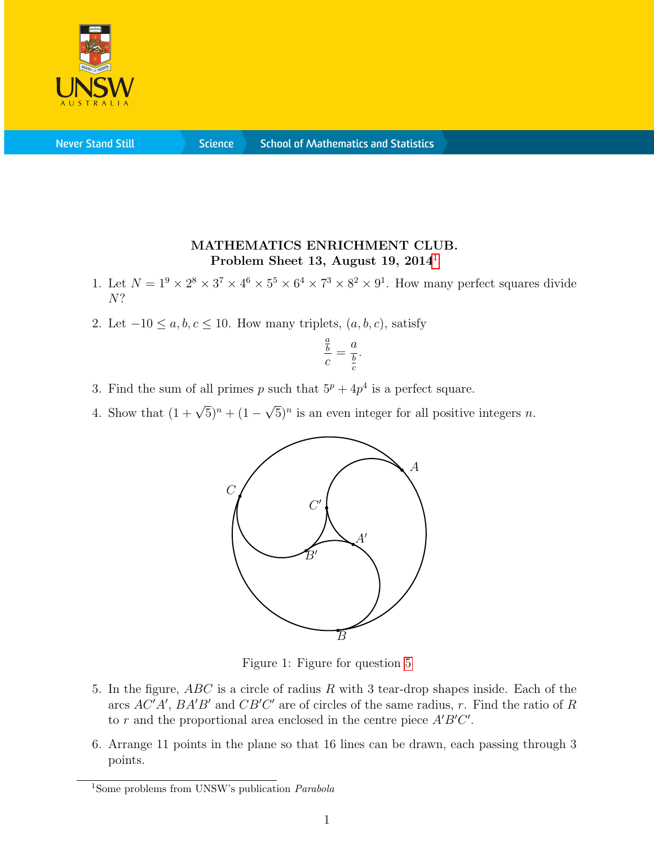

**Never Stand Still** 

**Science** 

## MATHEMATICS ENRICHMENT CLUB. Problem Sheet [1](#page-0-0)3, August 19, 2014<sup>1</sup>

- 1. Let  $N = 1^9 \times 2^8 \times 3^7 \times 4^6 \times 5^5 \times 6^4 \times 7^3 \times 8^2 \times 9^1$ . How many perfect squares divide N?
- 2. Let  $-10 \le a, b, c \le 10$ . How many triplets,  $(a, b, c)$ , satisfy

$$
\frac{\frac{a}{b}}{c} = \frac{a}{\frac{b}{c}}.
$$

- 3. Find the sum of all primes p such that  $5^p + 4p^4$  is a perfect square.
- <span id="page-0-1"></span>4. Show that  $(1 + \sqrt{5})^n + (1 -$ √  $\overline{5})^n$  is an even integer for all positive integers n.



Figure 1: Figure for question [5](#page-0-1)

- 5. In the figure, ABC is a circle of radius R with 3 tear-drop shapes inside. Each of the arcs  $AC'A'$ ,  $BA'B'$  and  $CB'C'$  are of circles of the same radius, r. Find the ratio of R to r and the proportional area enclosed in the centre piece  $A'B'C'$ .
- 6. Arrange 11 points in the plane so that 16 lines can be drawn, each passing through 3 points.

<span id="page-0-0"></span><sup>&</sup>lt;sup>1</sup>Some problems from UNSW's publication *Parabola*